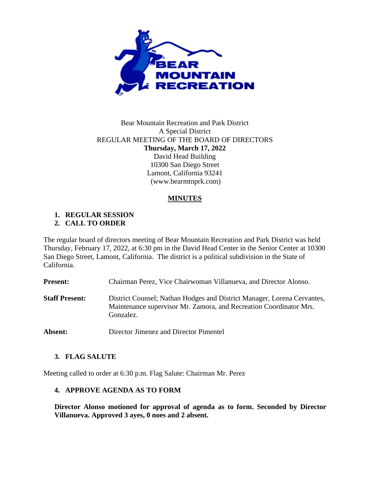

# Bear Mountain Recreation and Park District A Special District REGULAR MEETING OF THE BOARD OF DIRECTORS **Thursday, March 17, 2022** David Head Building 10300 San Diego Street Lamont, California 93241 (www.bearmtnprk.com)

# **MINUTES**

#### **1. REGULAR SESSION 2. CALL TO ORDER**

The regular board of directors meeting of Bear Mountain Recreation and Park District was held Thursday, February 17, 2022, at 6:30 pm in the David Head Center in the Senior Center at 10300 San Diego Street, Lamont, California. The district is a political subdivision in the State of California.

**Present:** Chairman Perez, Vice Chairwoman Villanueva, and Director Alonso.

- **Staff Present:** District Counsel; Nathan Hodges and District Manager, Lorena Cervantes, Maintenance supervisor Mr. Zamora, and Recreation Coordinator Mrs. Gonzalez.
- **Absent:** Director Jimenez and Director Pimentel

# **3. FLAG SALUTE**

Meeting called to order at 6:30 p.m. Flag Salute: Chairman Mr. Perez

### **4. APPROVE AGENDA AS TO FORM**

**Director Alonso motioned for approval of agenda as to form. Seconded by Director Villanueva. Approved 3 ayes, 0 noes and 2 absent.**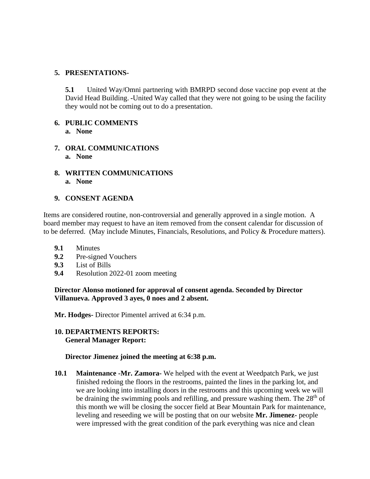### **5. PRESENTATIONS-**

**5.1** United Way/Omni partnering with BMRPD second dose vaccine pop event at the David Head Building. **-**United Way called that they were not going to be using the facility they would not be coming out to do a presentation.

#### **6. PUBLIC COMMENTS a. None**

- **7. ORAL COMMUNICATIONS a. None**
- **8. WRITTEN COMMUNICATIONS a. None**

## **9. CONSENT AGENDA**

Items are considered routine, non-controversial and generally approved in a single motion. A board member may request to have an item removed from the consent calendar for discussion of to be deferred. (May include Minutes, Financials, Resolutions, and Policy & Procedure matters).

- **9.1** Minutes
- **9.2** Pre-signed Vouchers
- **9.3** List of Bills
- **9.4** Resolution 2022-01 zoom meeting

**Director Alonso motioned for approval of consent agenda. Seconded by Director Villanueva. Approved 3 ayes, 0 noes and 2 absent.**

**Mr. Hodges-** Director Pimentel arrived at 6:34 p.m.

## **10. DEPARTMENTS REPORTS: General Manager Report:**

### **Director Jimenez joined the meeting at 6:38 p.m.**

**10.1 Maintenance -Mr. Zamora-** We helped with the event at Weedpatch Park, we just finished redoing the floors in the restrooms, painted the lines in the parking lot, and we are looking into installing doors in the restrooms and this upcoming week we will be draining the swimming pools and refilling, and pressure washing them. The  $28<sup>th</sup>$  of this month we will be closing the soccer field at Bear Mountain Park for maintenance, leveling and reseeding we will be posting that on our website **Mr. Jimenez-** people were impressed with the great condition of the park everything was nice and clean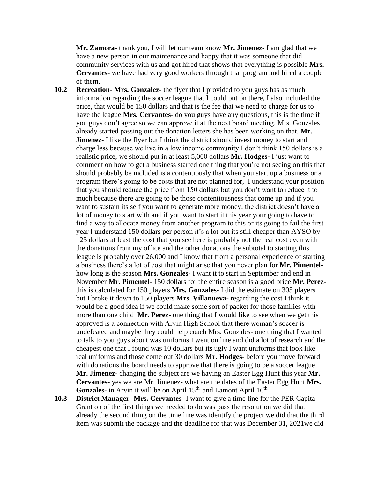**Mr. Zamora-** thank you, I will let our team know **Mr. Jimenez-** I am glad that we have a new person in our maintenance and happy that it was someone that did community services with us and got hired that shows that everything is possible **Mrs. Cervantes-** we have had very good workers through that program and hired a couple of them.

- **10.2 Recreation- Mrs. Gonzalez-** the flyer that I provided to you guys has as much information regarding the soccer league that I could put on there, I also included the price, that would be 150 dollars and that is the fee that we need to charge for us to have the league **Mrs. Cervantes-** do you guys have any questions, this is the time if you guys don't agree so we can approve it at the next board meeting, Mrs. Gonzales already started passing out the donation letters she has been working on that. **Mr. Jimenez-** I like the flyer but I think the district should invest money to start and charge less because we live in a low income community I don't think 150 dollars is a realistic price, we should put in at least 5,000 dollars **Mr. Hodges-** I just want to comment on how to get a business started one thing that you're not seeing on this that should probably be included is a contentiously that when you start up a business or a program there's going to be costs that are not planned for, I understand your position that you should reduce the price from 150 dollars but you don't want to reduce it to much because there are going to be those contentiousness that come up and if you want to sustain its self you want to generate more money, the district doesn't have a lot of money to start with and if you want to start it this year your going to have to find a way to allocate money from another program to this or its going to fail the first year I understand 150 dollars per person it's a lot but its still cheaper than AYSO by 125 dollars at least the cost that you see here is probably not the real cost even with the donations from my office and the other donations the subtotal to starting this league is probably over 26,000 and I know that from a personal experience of starting a business there's a lot of cost that might arise that you never plan for **Mr. Pimentel**how long is the season **Mrs. Gonzales-** I want it to start in September and end in November **Mr. Pimentel-** 150 dollars for the entire season is a good price **Mr. Perez**this is calculated for 150 players **Mrs. Gonzales-** I did the estimate on 305 players but I broke it down to 150 players **Mrs. Villanueva-** regarding the cost I think it would be a good idea if we could make some sort of packet for those families with more than one child **Mr. Perez-** one thing that I would like to see when we get this approved is a connection with Arvin High School that there woman's soccer is undefeated and maybe they could help coach Mrs. Gonzales- one thing that I wanted to talk to you guys about was uniforms I went on line and did a lot of research and the cheapest one that I found was 10 dollars but its ugly I want uniforms that look like real uniforms and those come out 30 dollars **Mr. Hodges-** before you move forward with donations the board needs to approve that there is going to be a soccer league **Mr. Jimenez-** changing the subject are we having an Easter Egg Hunt this year **Mr. Cervantes-** yes we are Mr. Jimenez- what are the dates of the Easter Egg Hunt **Mrs.**  Gonzales- in Arvin it will be on April 15<sup>th</sup> and Lamont April 16<sup>th</sup>
- **10.3 District Manager- Mrs. Cervantes-** I want to give a time line for the PER Capita Grant on of the first things we needed to do was pass the resolution we did that already the second thing on the time line was identify the project we did that the third item was submit the package and the deadline for that was December 31, 2021we did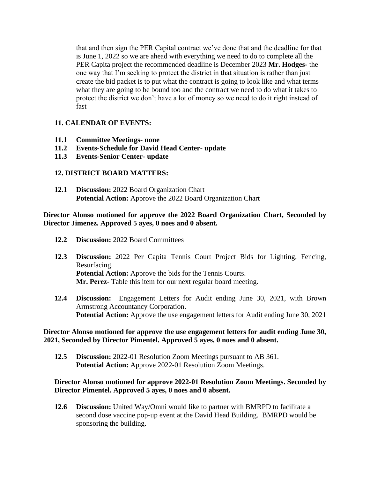that and then sign the PER Capital contract we've done that and the deadline for that is June 1, 2022 so we are ahead with everything we need to do to complete all the PER Capita project the recommended deadline is December 2023 **Mr. Hodges-** the one way that I'm seeking to protect the district in that situation is rather than just create the bid packet is to put what the contract is going to look like and what terms what they are going to be bound too and the contract we need to do what it takes to protect the district we don't have a lot of money so we need to do it right instead of fast

# **11. CALENDAR OF EVENTS:**

- **11.1 Committee Meetings- none**
- **11.2 Events-Schedule for David Head Center- update**
- **11.3 Events-Senior Center- update**

## **12. DISTRICT BOARD MATTERS:**

**12.1 Discussion:** 2022 Board Organization Chart **Potential Action:** Approve the 2022 Board Organization Chart

### **Director Alonso motioned for approve the 2022 Board Organization Chart, Seconded by Director Jimenez. Approved 5 ayes, 0 noes and 0 absent.**

- **12.2 Discussion:** 2022 Board Committees
- **12.3 Discussion:** 2022 Per Capita Tennis Court Project Bids for Lighting, Fencing, Resurfacing. **Potential Action:** Approve the bids for the Tennis Courts.  **Mr. Perez-** Table this item for our next regular board meeting.
- **12.4 Discussion:** Engagement Letters for Audit ending June 30, 2021, with Brown Armstrong Accountancy Corporation. **Potential Action:** Approve the use engagement letters for Audit ending June 30, 2021

### **Director Alonso motioned for approve the use engagement letters for audit ending June 30, 2021, Seconded by Director Pimentel. Approved 5 ayes, 0 noes and 0 absent.**

**12.5 Discussion:** 2022-01 Resolution Zoom Meetings pursuant to AB 361. **Potential Action:** Approve 2022-01 Resolution Zoom Meetings.

### **Director Alonso motioned for approve 2022-01 Resolution Zoom Meetings. Seconded by Director Pimentel. Approved 5 ayes, 0 noes and 0 absent.**

**12.6 Discussion:** United Way/Omni would like to partner with BMRPD to facilitate a second dose vaccine pop-up event at the David Head Building. BMRPD would be sponsoring the building.